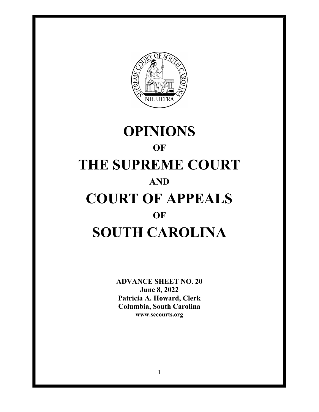

# **OPINIONS OF THE SUPREME COURT AND COURT OF APPEALS OF SOUTH CAROLINA**

**ADVANCE SHEET NO. 20 June 8, 2022 Patricia A. Howard, Clerk Columbia, South Carolina <www.sccourts.org>**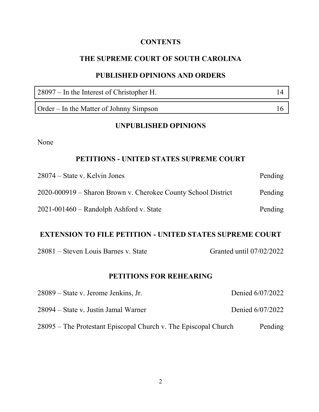# **CONTENTS**

# **THE SUPREME COURT OF SOUTH CAROLINA**

## **PUBLISHED OPINIONS AND ORDERS**

| $28097 -$ In the Interest of Christopher H. | 14 |
|---------------------------------------------|----|
| Order – In the Matter of Johnny Simpson     | 16 |

### **UNPUBLISHED OPINIONS**

None

# **PETITIONS - UNITED STATES SUPREME COURT**

| $28074 - State v. Kelvin Jones$                               | Pending |
|---------------------------------------------------------------|---------|
| 2020-000919 – Sharon Brown v. Cherokee County School District | Pending |
| $2021 - 001460$ – Randolph Ashford v. State                   | Pending |

# **EXTENSION TO FILE PETITION - UNITED STATES SUPREME COURT**

| 28081 – Steven Louis Barnes v. State |  |  |
|--------------------------------------|--|--|
|--------------------------------------|--|--|

Granted until 07/02/2022

# **PETITIONS FOR REHEARING**

| 28089 – State v. Jerome Jenkins, Jr.                            | Denied 6/07/2022 |
|-----------------------------------------------------------------|------------------|
| 28094 – State v. Justin Jamal Warner                            | Denied 6/07/2022 |
| 28095 – The Protestant Episcopal Church v. The Episcopal Church | Pending          |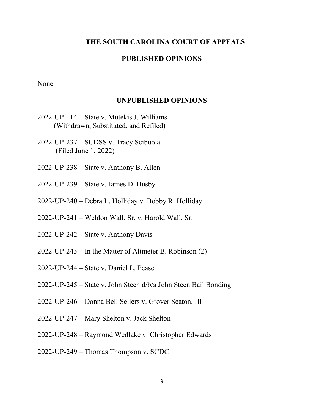#### **THE SOUTH CAROLINA COURT OF APPEALS**

#### **PUBLISHED OPINIONS**

None

#### **UNPUBLISHED OPINIONS**

- 2022-UP-114 State v. Mutekis J. Williams (Withdrawn, Substituted, and Refiled)
- 2022-UP-237 SCDSS v. Tracy Scibuola (Filed June 1, 2022)
- 2022-UP-238 State v. Anthony B. Allen
- 2022-UP-239 State v. James D. Busby
- 2022-UP-240 Debra L. Holliday v. Bobby R. Holliday
- 2022-UP-241 Weldon Wall, Sr. v. Harold Wall, Sr.
- 2022-UP-242 State v. Anthony Davis
- 2022-UP-243 In the Matter of Altmeter B. Robinson (2)
- 2022-UP-244 State v. Daniel L. Pease
- 2022-UP-245 State v. John Steen d/b/a John Steen Bail Bonding
- 2022-UP-246 Donna Bell Sellers v. Grover Seaton, III
- 2022-UP-247 Mary Shelton v. Jack Shelton
- 2022-UP-248 Raymond Wedlake v. Christopher Edwards
- 2022-UP-249 Thomas Thompson v. SCDC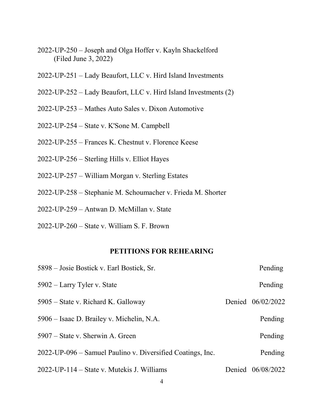- 2022-UP-250 Joseph and Olga Hoffer v. Kayln Shackelford (Filed June 3, 2022)
- 2022-UP-251 Lady Beaufort, LLC v. Hird Island Investments
- 2022-UP-252 Lady Beaufort, LLC v. Hird Island Investments (2)
- 2022-UP-253 Mathes Auto Sales v. Dixon Automotive
- 2022-UP-254 State v. K'Sone M. Campbell
- 2022-UP-255 Frances K. Chestnut v. Florence Keese
- 2022-UP-256 Sterling Hills v. Elliot Hayes
- 2022-UP-257 William Morgan v. Sterling Estates
- 2022-UP-258 Stephanie M. Schoumacher v. Frieda M. Shorter
- 2022-UP-259 Antwan D. McMillan v. State
- 2022-UP-260 State v. William S. F. Brown

#### **PETITIONS FOR REHEARING**

| 5898 – Josie Bostick v. Earl Bostick, Sr.                  | Pending           |
|------------------------------------------------------------|-------------------|
| 5902 – Larry Tyler v. State                                | Pending           |
| 5905 – State v. Richard K. Galloway                        | Denied 06/02/2022 |
| 5906 – Isaac D. Brailey v. Michelin, N.A.                  | Pending           |
| 5907 – State v. Sherwin A. Green                           | Pending           |
| 2022-UP-096 – Samuel Paulino v. Diversified Coatings, Inc. | Pending           |
| 2022-UP-114 – State v. Mutekis J. Williams                 | Denied 06/08/2022 |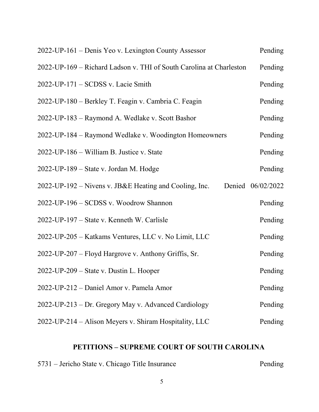| 2022-UP-161 – Denis Yeo v. Lexington County Assessor                | Pending           |
|---------------------------------------------------------------------|-------------------|
| 2022-UP-169 - Richard Ladson v. THI of South Carolina at Charleston | Pending           |
| $2022$ -UP-171 – SCDSS v. Lacie Smith                               | Pending           |
| 2022-UP-180 – Berkley T. Feagin v. Cambria C. Feagin                | Pending           |
| 2022-UP-183 – Raymond A. Wedlake v. Scott Bashor                    | Pending           |
| 2022-UP-184 – Raymond Wedlake v. Woodington Homeowners              | Pending           |
| 2022-UP-186 – William B. Justice v. State                           | Pending           |
| 2022-UP-189 – State v. Jordan M. Hodge                              | Pending           |
| 2022-UP-192 – Nivens v. JB&E Heating and Cooling, Inc.              | Denied 06/02/2022 |
| 2022-UP-196 - SCDSS v. Woodrow Shannon                              | Pending           |
| 2022-UP-197 – State v. Kenneth W. Carlisle                          | Pending           |
| 2022-UP-205 – Katkams Ventures, LLC v. No Limit, LLC                | Pending           |
| 2022-UP-207 – Floyd Hargrove v. Anthony Griffis, Sr.                | Pending           |
| 2022-UP-209 – State v. Dustin L. Hooper                             | Pending           |
| 2022-UP-212 - Daniel Amor v. Pamela Amor                            | Pending           |
| 2022-UP-213 – Dr. Gregory May v. Advanced Cardiology                | Pending           |
| 2022-UP-214 – Alison Meyers v. Shiram Hospitality, LLC              | Pending           |

# **PETITIONS – SUPREME COURT OF SOUTH CAROLINA**

| 5731 – Jericho State v. Chicago Title Insurance | Pending |
|-------------------------------------------------|---------|
|                                                 |         |
|                                                 |         |

# Pending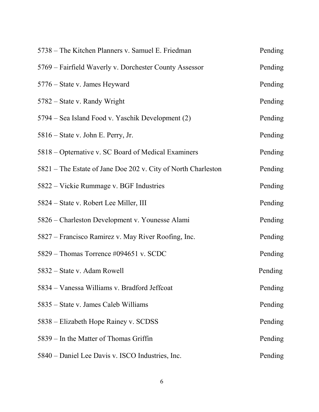| 5738 – The Kitchen Planners v. Samuel E. Friedman             | Pending |
|---------------------------------------------------------------|---------|
| 5769 – Fairfield Waverly v. Dorchester County Assessor        | Pending |
| 5776 – State v. James Heyward                                 | Pending |
| 5782 – State v. Randy Wright                                  | Pending |
| 5794 – Sea Island Food v. Yaschik Development (2)             | Pending |
| 5816 – State v. John E. Perry, Jr.                            | Pending |
| 5818 – Opternative v. SC Board of Medical Examiners           | Pending |
| 5821 – The Estate of Jane Doe 202 v. City of North Charleston | Pending |
| 5822 – Vickie Rummage v. BGF Industries                       | Pending |
| 5824 – State v. Robert Lee Miller, III                        | Pending |
| 5826 – Charleston Development v. Younesse Alami               | Pending |
| 5827 – Francisco Ramirez v. May River Roofing, Inc.           | Pending |
| 5829 – Thomas Torrence #094651 v. SCDC                        | Pending |
| 5832 – State v. Adam Rowell                                   | Pending |
| 5834 - Vanessa Williams v. Bradford Jeffcoat                  | Pending |
| 5835 – State v. James Caleb Williams                          | Pending |
| 5838 – Elizabeth Hope Rainey v. SCDSS                         | Pending |
| 5839 – In the Matter of Thomas Griffin                        | Pending |
| 5840 – Daniel Lee Davis v. ISCO Industries, Inc.              | Pending |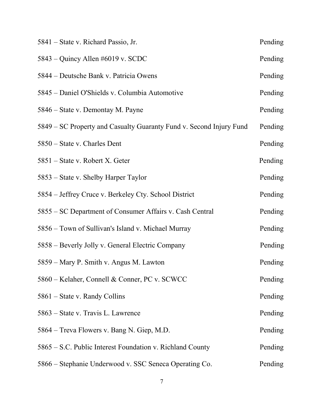| 5841 – State v. Richard Passio, Jr.                                 | Pending |
|---------------------------------------------------------------------|---------|
| 5843 – Quincy Allen #6019 v. SCDC                                   | Pending |
| 5844 – Deutsche Bank v. Patricia Owens                              | Pending |
| 5845 – Daniel O'Shields v. Columbia Automotive                      | Pending |
| 5846 – State v. Demontay M. Payne                                   | Pending |
| 5849 – SC Property and Casualty Guaranty Fund v. Second Injury Fund | Pending |
| 5850 – State v. Charles Dent                                        | Pending |
| 5851 – State v. Robert X. Geter                                     | Pending |
| 5853 – State v. Shelby Harper Taylor                                | Pending |
| 5854 – Jeffrey Cruce v. Berkeley Cty. School District               | Pending |
| 5855 – SC Department of Consumer Affairs v. Cash Central            | Pending |
| 5856 - Town of Sullivan's Island v. Michael Murray                  | Pending |
| 5858 – Beverly Jolly v. General Electric Company                    | Pending |
| 5859 – Mary P. Smith v. Angus M. Lawton                             | Pending |
| 5860 – Kelaher, Connell & Conner, PC v. SCWCC                       | Pending |
| 5861 – State v. Randy Collins                                       | Pending |
| 5863 – State v. Travis L. Lawrence                                  | Pending |
| 5864 – Treva Flowers v. Bang N. Giep, M.D.                          | Pending |
| 5865 – S.C. Public Interest Foundation v. Richland County           | Pending |
| 5866 – Stephanie Underwood v. SSC Seneca Operating Co.              | Pending |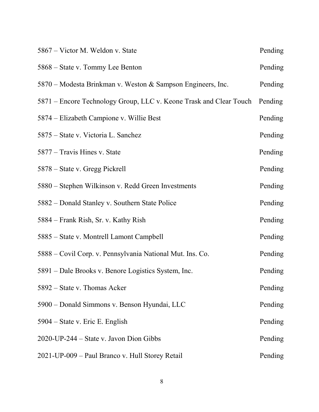| 5867 – Victor M. Weldon v. State                                   | Pending |
|--------------------------------------------------------------------|---------|
| 5868 – State v. Tommy Lee Benton                                   | Pending |
| 5870 – Modesta Brinkman v. Weston & Sampson Engineers, Inc.        | Pending |
| 5871 – Encore Technology Group, LLC v. Keone Trask and Clear Touch | Pending |
| 5874 - Elizabeth Campione v. Willie Best                           | Pending |
| 5875 – State v. Victoria L. Sanchez                                | Pending |
| 5877 – Travis Hines v. State                                       | Pending |
| 5878 – State v. Gregg Pickrell                                     | Pending |
| 5880 – Stephen Wilkinson v. Redd Green Investments                 | Pending |
| 5882 – Donald Stanley v. Southern State Police                     | Pending |
| 5884 – Frank Rish, Sr. v. Kathy Rish                               | Pending |
| 5885 – State v. Montrell Lamont Campbell                           | Pending |
| 5888 – Covil Corp. v. Pennsylvania National Mut. Ins. Co.          | Pending |
| 5891 – Dale Brooks v. Benore Logistics System, Inc.                | Pending |
| 5892 – State v. Thomas Acker                                       | Pending |
| 5900 – Donald Simmons v. Benson Hyundai, LLC                       | Pending |
| 5904 – State v. Eric E. English                                    | Pending |
| $2020$ -UP-244 – State v. Javon Dion Gibbs                         | Pending |
| 2021-UP-009 - Paul Branco v. Hull Storey Retail                    | Pending |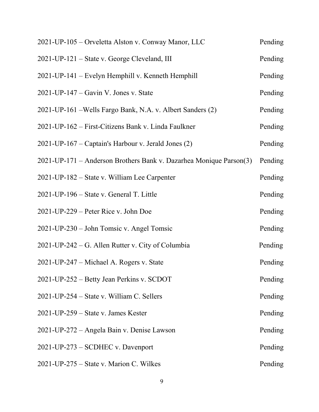| 2021-UP-105 – Orveletta Alston v. Conway Manor, LLC                | Pending |
|--------------------------------------------------------------------|---------|
| 2021-UP-121 – State v. George Cleveland, III                       | Pending |
| 2021-UP-141 - Evelyn Hemphill v. Kenneth Hemphill                  | Pending |
| $2021$ -UP-147 – Gavin V. Jones v. State                           | Pending |
| 2021-UP-161 – Wells Fargo Bank, N.A. v. Albert Sanders (2)         | Pending |
| 2021-UP-162 – First-Citizens Bank v. Linda Faulkner                | Pending |
| 2021-UP-167 – Captain's Harbour v. Jerald Jones (2)                | Pending |
| 2021-UP-171 – Anderson Brothers Bank v. Dazarhea Monique Parson(3) | Pending |
| 2021-UP-182 – State v. William Lee Carpenter                       | Pending |
| 2021-UP-196 – State v. General T. Little                           | Pending |
| 2021-UP-229 – Peter Rice v. John Doe                               | Pending |
| 2021-UP-230 – John Tomsic v. Angel Tomsic                          | Pending |
| 2021-UP-242 – G. Allen Rutter v. City of Columbia                  | Pending |
| 2021-UP-247 - Michael A. Rogers v. State                           | Pending |
| 2021-UP-252 – Betty Jean Perkins v. SCDOT                          | Pending |
| 2021-UP-254 – State v. William C. Sellers                          | Pending |
| $2021$ -UP-259 – State v. James Kester                             | Pending |
| 2021-UP-272 – Angela Bain v. Denise Lawson                         | Pending |
| 2021-UP-273 – SCDHEC v. Davenport                                  | Pending |
| $2021$ -UP-275 – State v. Marion C. Wilkes                         | Pending |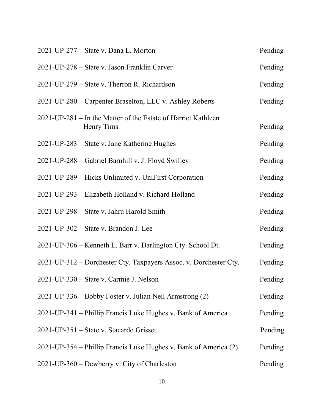| 2021-UP-277 – State v. Dana L. Morton                                       | Pending |
|-----------------------------------------------------------------------------|---------|
| 2021-UP-278 – State v. Jason Franklin Carver                                | Pending |
| 2021-UP-279 – State v. Therron R. Richardson                                | Pending |
| 2021-UP-280 – Carpenter Braselton, LLC v. Ashley Roberts                    | Pending |
| 2021-UP-281 – In the Matter of the Estate of Harriet Kathleen<br>Henry Tims | Pending |
| 2021-UP-283 – State v. Jane Katherine Hughes                                | Pending |
| 2021-UP-288 - Gabriel Barnhill v. J. Floyd Swilley                          | Pending |
| 2021-UP-289 – Hicks Unlimited v. UniFirst Corporation                       | Pending |
| 2021-UP-293 - Elizabeth Holland v. Richard Holland                          | Pending |
| 2021-UP-298 - State v. Jahru Harold Smith                                   | Pending |
| 2021-UP-302 – State v. Brandon J. Lee                                       | Pending |
| 2021-UP-306 – Kenneth L. Barr v. Darlington Cty. School Dt.                 | Pending |
| 2021-UP-312 – Dorchester Cty. Taxpayers Assoc. v. Dorchester Cty.           | Pending |
| 2021-UP-330 – State v. Carmie J. Nelson                                     | Pending |
| 2021-UP-336 – Bobby Foster v. Julian Neil Armstrong (2)                     | Pending |
| 2021-UP-341 – Phillip Francis Luke Hughes v. Bank of America                | Pending |
| 2021-UP-351 – State v. Stacardo Grissett                                    | Pending |
| 2021-UP-354 – Phillip Francis Luke Hughes v. Bank of America (2)            | Pending |
| 2021-UP-360 – Dewberry v. City of Charleston                                | Pending |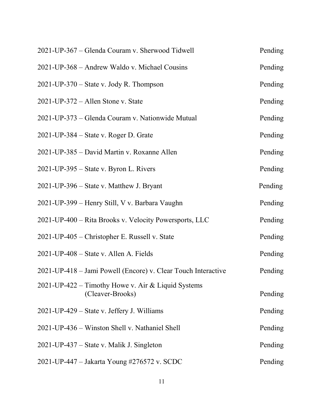| 2021-UP-367 - Glenda Couram v. Sherwood Tidwell                        | Pending |
|------------------------------------------------------------------------|---------|
| 2021-UP-368 - Andrew Waldo v. Michael Cousins                          | Pending |
| $2021$ -UP-370 – State v. Jody R. Thompson                             | Pending |
| $2021$ -UP-372 – Allen Stone v. State                                  | Pending |
| 2021-UP-373 – Glenda Couram v. Nationwide Mutual                       | Pending |
| $2021$ -UP-384 – State v. Roger D. Grate                               | Pending |
| 2021-UP-385 - David Martin v. Roxanne Allen                            | Pending |
| $2021$ -UP-395 – State v. Byron L. Rivers                              | Pending |
| 2021-UP-396 – State v. Matthew J. Bryant                               | Pending |
| 2021-UP-399 - Henry Still, V v. Barbara Vaughn                         | Pending |
| 2021-UP-400 – Rita Brooks v. Velocity Powersports, LLC                 | Pending |
| 2021-UP-405 – Christopher E. Russell v. State                          | Pending |
| 2021-UP-408 – State v. Allen A. Fields                                 | Pending |
| 2021-UP-418 – Jami Powell (Encore) v. Clear Touch Interactive          | Pending |
| 2021-UP-422 – Timothy Howe v. Air & Liquid Systems<br>(Cleaver-Brooks) | Pending |
| 2021-UP-429 – State v. Jeffery J. Williams                             | Pending |
| 2021-UP-436 – Winston Shell v. Nathaniel Shell                         | Pending |
| 2021-UP-437 – State v. Malik J. Singleton                              | Pending |
| 2021-UP-447 – Jakarta Young #276572 v. SCDC                            | Pending |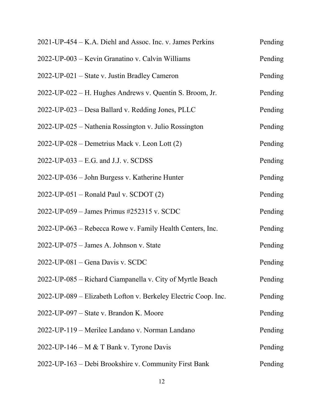| 2021-UP-454 – K.A. Diehl and Assoc. Inc. v. James Perkins      | Pending |
|----------------------------------------------------------------|---------|
| 2022-UP-003 – Kevin Granatino v. Calvin Williams               | Pending |
| 2022-UP-021 – State v. Justin Bradley Cameron                  | Pending |
| 2022-UP-022 – H. Hughes Andrews v. Quentin S. Broom, Jr.       | Pending |
| 2022-UP-023 – Desa Ballard v. Redding Jones, PLLC              | Pending |
| 2022-UP-025 – Nathenia Rossington v. Julio Rossington          | Pending |
| 2022-UP-028 – Demetrius Mack v. Leon Lott (2)                  | Pending |
| $2022$ -UP-033 – E.G. and J.J. v. SCDSS                        | Pending |
| 2022-UP-036 – John Burgess v. Katherine Hunter                 | Pending |
| $2022$ -UP-051 – Ronald Paul v. SCDOT $(2)$                    | Pending |
| 2022-UP-059 - James Primus #252315 v. SCDC                     | Pending |
| 2022-UP-063 – Rebecca Rowe v. Family Health Centers, Inc.      | Pending |
| 2022-UP-075 - James A. Johnson v. State                        | Pending |
| 2022-UP-081 - Gena Davis v. SCDC                               | Pending |
| 2022-UP-085 – Richard Ciampanella v. City of Myrtle Beach      | Pending |
| 2022-UP-089 – Elizabeth Lofton v. Berkeley Electric Coop. Inc. | Pending |
| 2022-UP-097 – State v. Brandon K. Moore                        | Pending |
| 2022-UP-119 – Merilee Landano v. Norman Landano                | Pending |
| 2022-UP-146 – M & T Bank v. Tyrone Davis                       | Pending |
| 2022-UP-163 - Debi Brookshire v. Community First Bank          | Pending |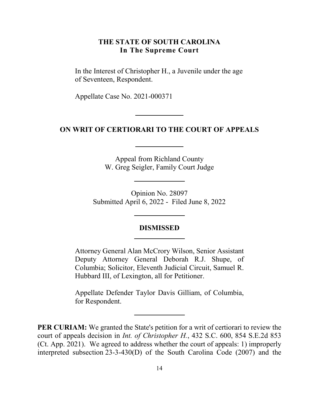#### **THE STATE OF SOUTH CAROLINA In The Supreme Court**

<span id="page-13-0"></span> In the Interest of Christopher H., a Juvenile under the age of Seventeen, Respondent.

Appellate Case No. 2021-000371

#### **ON WRIT OF CERTIORARI TO THE COURT OF APPEALS**

Appeal from Richland County W. Greg Seigler, Family Court Judge

 Submitted April 6, 2022 - Filed June 8, 2022 Opinion No. 28097

#### **DISMISSED**

Attorney General Alan McCrory Wilson, Senior Assistant Deputy Attorney General Deborah R.J. Shupe, of Columbia; Solicitor, Eleventh Judicial Circuit, Samuel R. Hubbard III, of Lexington, all for Petitioner.

 Appellate Defender Taylor Davis Gilliam, of Columbia, for Respondent.

 **PER CURIAM:** We granted the State's petition for a writ of certiorari to review the court of appeals decision in *Int. of Christopher H.*, 432 S.C. 600, 854 S.E.2d 853 (Ct. App. 2021). We agreed to address whether the court of appeals: 1) improperly interpreted subsection 23-3-430(D) of the South Carolina Code (2007) and the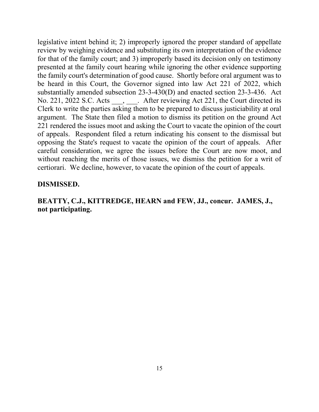the family court's determination of good cause. Shortly before oral argument was to No. 221, 2022 S.C. Acts  $\underline{\hspace{1cm}}$ ,  $\underline{\hspace{1cm}}$ . After reviewing Act 221, the Court directed its Clerk to write the parties asking them to be prepared to discuss justiciability at oral 221 rendered the issues moot and asking the Court to vacate the opinion of the court opposing the State's request to vacate the opinion of the court of appeals. After without reaching the merits of those issues, we dismiss the petition for a writ of certiorari. We decline, however, to vacate the opinion of the court of appeals. legislative intent behind it; 2) improperly ignored the proper standard of appellate review by weighing evidence and substituting its own interpretation of the evidence for that of the family court; and 3) improperly based its decision only on testimony presented at the family court hearing while ignoring the other evidence supporting be heard in this Court, the Governor signed into law Act 221 of 2022, which substantially amended subsection 23-3-430(D) and enacted section 23-3-436. Act argument. The State then filed a motion to dismiss its petition on the ground Act of appeals. Respondent filed a return indicating his consent to the dismissal but careful consideration, we agree the issues before the Court are now moot, and

#### **DISMISSED.**

# **BEATTY, C.J., KITTREDGE, HEARN and FEW, JJ., concur. JAMES, J., not participating.**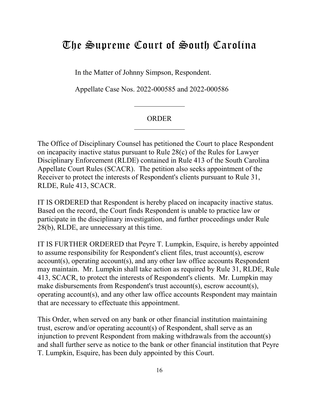# <span id="page-15-0"></span>The Supreme Court of South Carolina

In the Matter of Johnny Simpson, Respondent.

Appellate Case Nos. 2022-000585 and 2022-000586

#### ORDER

 Disciplinary Enforcement (RLDE) contained in Rule 413 of the South Carolina Receiver to protect the interests of Respondent's clients pursuant to Rule 31, The Office of Disciplinary Counsel has petitioned the Court to place Respondent on incapacity inactive status pursuant to Rule 28(c) of the Rules for Lawyer Appellate Court Rules (SCACR). The petition also seeks appointment of the RLDE, Rule 413, SCACR.

 IT IS ORDERED that Respondent is hereby placed on incapacity inactive status. Based on the record, the Court finds Respondent is unable to practice law or Based on the record, the Court finds Respondent is unable to practice law or 28(b), RLDE, are unnecessary at this time. participate in the disciplinary investigation, and further proceedings under Rule

 413, SCACR, to protect the interests of Respondent's clients. Mr. Lumpkin may IT IS FURTHER ORDERED that Peyre T. Lumpkin, Esquire, is hereby appointed to assume responsibility for Respondent's client files, trust account(s), escrow account(s), operating account(s), and any other law office accounts Respondent may maintain. Mr. Lumpkin shall take action as required by Rule 31, RLDE, Rule make disbursements from Respondent's trust account(s), escrow account(s), operating account(s), and any other law office accounts Respondent may maintain that are necessary to effectuate this appointment.

This Order, when served on any bank or other financial institution maintaining trust, escrow and/or operating account(s) of Respondent, shall serve as an injunction to prevent Respondent from making withdrawals from the account(s) and shall further serve as notice to the bank or other financial institution that Peyre T. Lumpkin, Esquire, has been duly appointed by this Court.